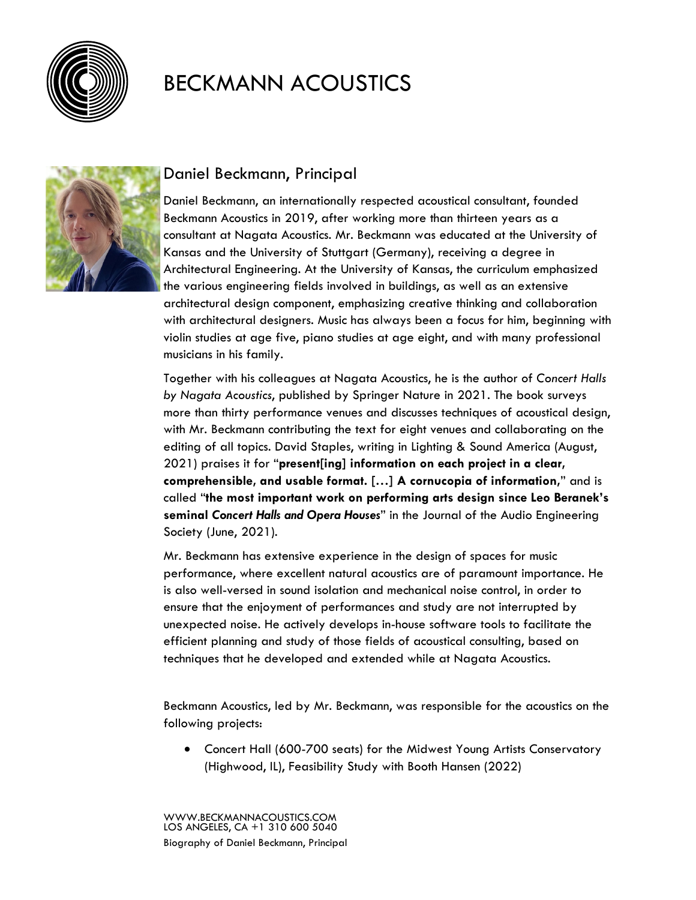



#### Daniel Beckmann, Principal

Daniel Beckmann, an internationally respected acoustical consultant, founded Beckmann Acoustics in 2019, after working more than thirteen years as a consultant at Nagata Acoustics. Mr. Beckmann was educated at the University of Kansas and the University of Stuttgart (Germany), receiving a degree in Architectural Engineering. At the University of Kansas, the curriculum emphasized the various engineering fields involved in buildings, as well as an extensive architectural design component, emphasizing creative thinking and collaboration with architectural designers. Music has always been a focus for him, beginning with violin studies at age five, piano studies at age eight, and with many professional musicians in his family.

Together with his colleagues at Nagata Acoustics, he is the author of *Concert Halls by Nagata Acoustics*, published by Springer Nature in 2021. The book surveys more than thirty performance venues and discusses techniques of acoustical design, with Mr. Beckmann contributing the text for eight venues and collaborating on the editing of all topics. David Staples, writing in Lighting & Sound America (August, 2021) praises it for "**present[ing] information on each project in a clear, comprehensible, and usable format. […] A cornucopia of information,**" and is called "**the most important work on performing arts design since Leo Beranek's seminal** *Concert Halls and Opera Houses*" in the Journal of the Audio Engineering Society (June, 2021).

Mr. Beckmann has extensive experience in the design of spaces for music performance, where excellent natural acoustics are of paramount importance. He is also well-versed in sound isolation and mechanical noise control, in order to ensure that the enjoyment of performances and study are not interrupted by unexpected noise. He actively develops in-house software tools to facilitate the efficient planning and study of those fields of acoustical consulting, based on techniques that he developed and extended while at Nagata Acoustics.

Beckmann Acoustics, led by Mr. Beckmann, was responsible for the acoustics on the following projects:

• Concert Hall (600-700 seats) for the Midwest Young Artists Conservatory (Highwood, IL), Feasibility Study with Booth Hansen (2022)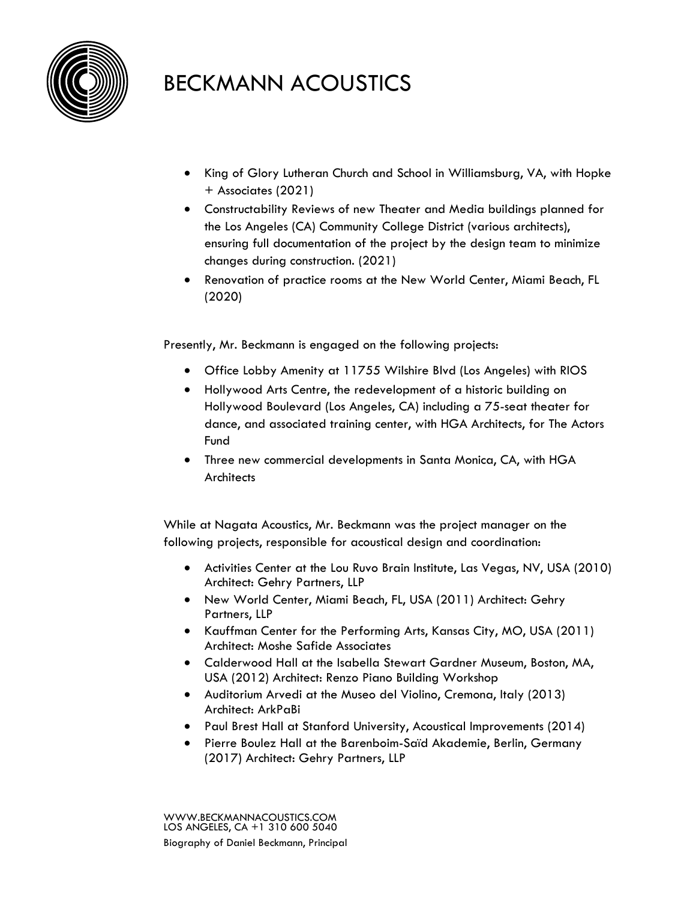

- King of Glory Lutheran Church and School in Williamsburg, VA, with Hopke + Associates (2021)
- Constructability Reviews of new Theater and Media buildings planned for the Los Angeles (CA) Community College District (various architects), ensuring full documentation of the project by the design team to minimize changes during construction. (2021)
- Renovation of practice rooms at the New World Center, Miami Beach, FL (2020)

Presently, Mr. Beckmann is engaged on the following projects:

- Office Lobby Amenity at 11755 Wilshire Blvd (Los Angeles) with RIOS
- Hollywood Arts Centre, the redevelopment of a historic building on Hollywood Boulevard (Los Angeles, CA) including a 75-seat theater for dance, and associated training center, with HGA Architects, for The Actors Fund
- Three new commercial developments in Santa Monica, CA, with HGA **Architects**

While at Nagata Acoustics, Mr. Beckmann was the project manager on the following projects, responsible for acoustical design and coordination:

- Activities Center at the Lou Ruvo Brain Institute, Las Vegas, NV, USA (2010) Architect: Gehry Partners, LLP
- New World Center, Miami Beach, FL, USA (2011) Architect: Gehry Partners, LLP
- Kauffman Center for the Performing Arts, Kansas City, MO, USA (2011) Architect: Moshe Safide Associates
- Calderwood Hall at the Isabella Stewart Gardner Museum, Boston, MA, USA (2012) Architect: Renzo Piano Building Workshop
- Auditorium Arvedi at the Museo del Violino, Cremona, Italy (2013) Architect: ArkPaBi
- Paul Brest Hall at Stanford University, Acoustical Improvements (2014)
- Pierre Boulez Hall at the Barenboim-Saïd Akademie, Berlin, Germany (2017) Architect: Gehry Partners, LLP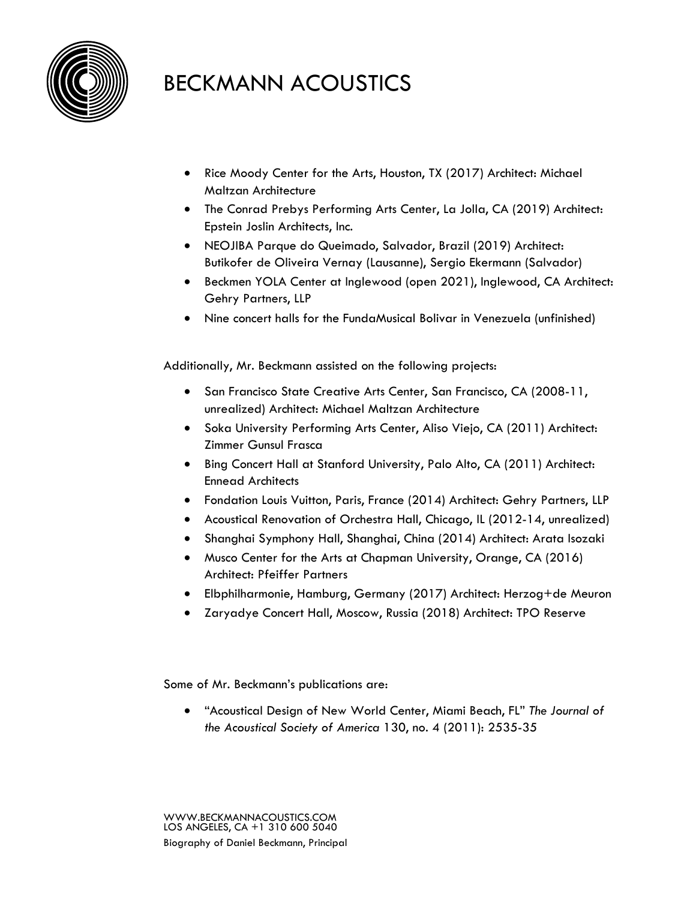

- Rice Moody Center for the Arts, Houston, TX (2017) Architect: Michael Maltzan Architecture
- The Conrad Prebys Performing Arts Center, La Jolla, CA (2019) Architect: Epstein Joslin Architects, Inc.
- NEOJIBA Parque do Queimado, Salvador, Brazil (2019) Architect: Butikofer de Oliveira Vernay (Lausanne), Sergio Ekermann (Salvador)
- Beckmen YOLA Center at Inglewood (open 2021), Inglewood, CA Architect: Gehry Partners, LLP
- Nine concert halls for the FundaMusical Bolivar in Venezuela (unfinished)

Additionally, Mr. Beckmann assisted on the following projects:

- San Francisco State Creative Arts Center, San Francisco, CA (2008-11, unrealized) Architect: Michael Maltzan Architecture
- Soka University Performing Arts Center, Aliso Viejo, CA (2011) Architect: Zimmer Gunsul Frasca
- Bing Concert Hall at Stanford University, Palo Alto, CA (2011) Architect: Ennead Architects
- Fondation Louis Vuitton, Paris, France (2014) Architect: Gehry Partners, LLP
- Acoustical Renovation of Orchestra Hall, Chicago, IL (2012-14, unrealized)
- Shanghai Symphony Hall, Shanghai, China (2014) Architect: Arata Isozaki
- Musco Center for the Arts at Chapman University, Orange, CA (2016) Architect: Pfeiffer Partners
- Elbphilharmonie, Hamburg, Germany (2017) Architect: Herzog+de Meuron
- Zaryadye Concert Hall, Moscow, Russia (2018) Architect: TPO Reserve

Some of Mr. Beckmann's publications are:

• "Acoustical Design of New World Center, Miami Beach, FL" *The Journal of the Acoustical Society of America* 130, no. 4 (2011): 2535-35